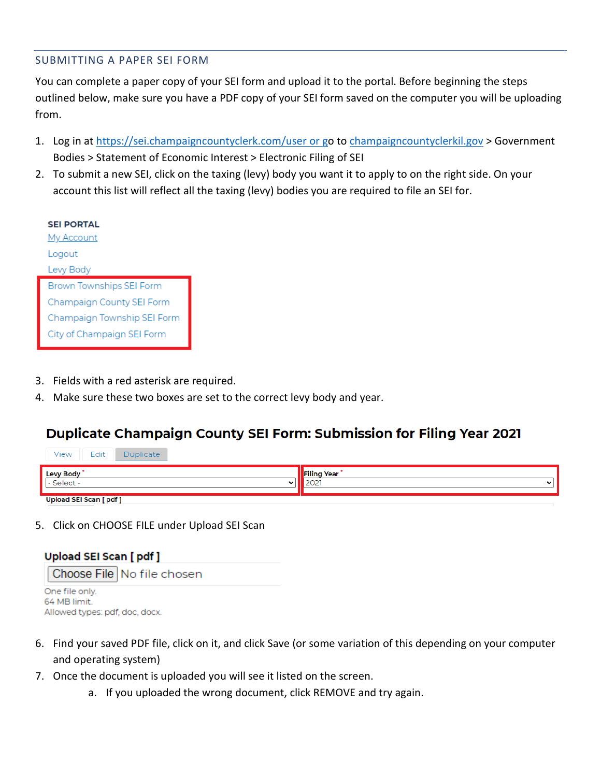## SUBMITTING A PAPER SEI FORM

You can complete a paper copy of your SEI form and upload it to the portal. Before beginning the steps outlined below, make sure you have a PDF copy of your SEI form saved on the computer you will be uploading from.

- 1. Log in at<https://sei.champaigncountyclerk.com/user> or go to [champaigncountyclerkil.gov](https://champaigncountyclerkil.gov/) > Government Bodies > Statement of Economic Interest > Electronic Filing of SEI
- 2. To submit a new SEI, click on the taxing (levy) body you want it to apply to on the right side. On your account this list will reflect all the taxing (levy) bodies you are required to file an SEI for.

| <b>SEI PORTAL</b>               |
|---------------------------------|
| My Account                      |
| Logout                          |
| Levy Body                       |
| <b>Brown Townships SEI Form</b> |
|                                 |
| Champaign County SEI Form       |
| Champaign Township SEI Form     |

- 3. Fields with a red asterisk are required.
- 4. Make sure these two boxes are set to the correct levy body and year.

## Duplicate Champaign County SEI Form: Submission for Filing Year 2021

| Edit<br>View<br><b>Duplicate</b> |                                 |
|----------------------------------|---------------------------------|
| Levy Body<br>Select -            | <b>Filing Year</b><br>$\ddot{}$ |
| <b>Upload SEI Scan [pdf]</b>     |                                 |

5. Click on CHOOSE FILE under Upload SEI Scan



- 6. Find your saved PDF file, click on it, and click Save (or some variation of this depending on your computer and operating system)
- 7. Once the document is uploaded you will see it listed on the screen.
	- a. If you uploaded the wrong document, click REMOVE and try again.